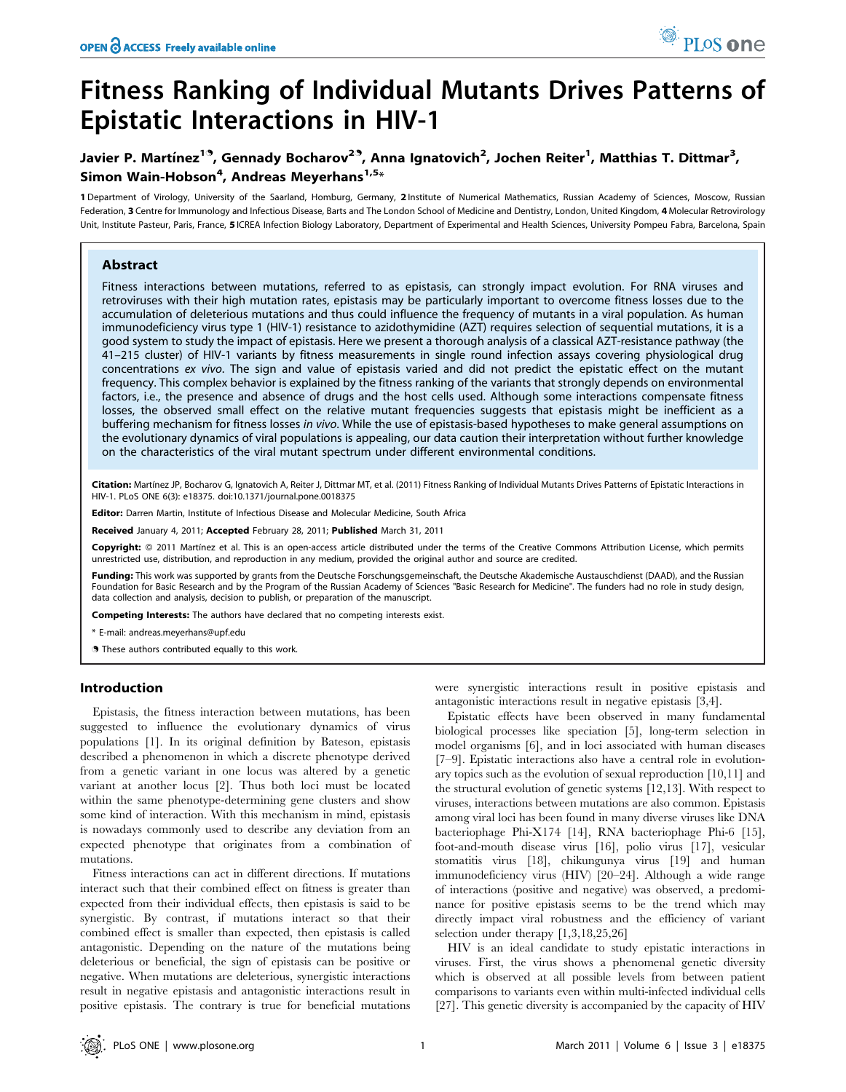# Fitness Ranking of Individual Mutants Drives Patterns of Epistatic Interactions in HIV-1

# Javier P. Martínez<sup>19</sup>, Gennady Bocharov<sup>29</sup>, Anna Ignatovich<sup>2</sup>, Jochen Reiter<sup>1</sup>, Matthias T. Dittmar<sup>3</sup>, Simon Wain-Hobson<sup>4</sup>, Andreas Meyerhans<sup>1,5</sup>\*

1 Department of Virology, University of the Saarland, Homburg, Germany, 2 Institute of Numerical Mathematics, Russian Academy of Sciences, Moscow, Russian Federation, 3 Centre for Immunology and Infectious Disease, Barts and The London School of Medicine and Dentistry, London, United Kingdom, 4 Molecular Retrovirology Unit, Institute Pasteur, Paris, France, 5 ICREA Infection Biology Laboratory, Department of Experimental and Health Sciences, University Pompeu Fabra, Barcelona, Spain

### Abstract

Fitness interactions between mutations, referred to as epistasis, can strongly impact evolution. For RNA viruses and retroviruses with their high mutation rates, epistasis may be particularly important to overcome fitness losses due to the accumulation of deleterious mutations and thus could influence the frequency of mutants in a viral population. As human immunodeficiency virus type 1 (HIV-1) resistance to azidothymidine (AZT) requires selection of sequential mutations, it is a good system to study the impact of epistasis. Here we present a thorough analysis of a classical AZT-resistance pathway (the 41–215 cluster) of HIV-1 variants by fitness measurements in single round infection assays covering physiological drug concentrations ex vivo. The sign and value of epistasis varied and did not predict the epistatic effect on the mutant frequency. This complex behavior is explained by the fitness ranking of the variants that strongly depends on environmental factors, i.e., the presence and absence of drugs and the host cells used. Although some interactions compensate fitness losses, the observed small effect on the relative mutant frequencies suggests that epistasis might be inefficient as a buffering mechanism for fitness losses in vivo. While the use of epistasis-based hypotheses to make general assumptions on the evolutionary dynamics of viral populations is appealing, our data caution their interpretation without further knowledge on the characteristics of the viral mutant spectrum under different environmental conditions.

Citation: Martínez JP, Bocharov G, Ignatovich A, Reiter J, Dittmar MT, et al. (2011) Fitness Ranking of Individual Mutants Drives Patterns of Epistatic Interactions in HIV-1. PLoS ONE 6(3): e18375. doi:10.1371/journal.pone.0018375

Editor: Darren Martin, Institute of Infectious Disease and Molecular Medicine, South Africa

Received January 4, 2011; Accepted February 28, 2011; Published March 31, 2011

Copyright: © 2011 Martínez et al. This is an open-access article distributed under the terms of the Creative Commons Attribution License, which permits unrestricted use, distribution, and reproduction in any medium, provided the original author and source are credited.

Funding: This work was supported by grants from the Deutsche Forschungsgemeinschaft, the Deutsche Akademische Austauschdienst (DAAD), and the Russian Foundation for Basic Research and by the Program of the Russian Academy of Sciences "Basic Research for Medicine". The funders had no role in study design, data collection and analysis, decision to publish, or preparation of the manuscript.

Competing Interests: The authors have declared that no competing interests exist.

\* E-mail: andreas.meyerhans@upf.edu

. These authors contributed equally to this work.

#### Introduction

Epistasis, the fitness interaction between mutations, has been suggested to influence the evolutionary dynamics of virus populations [1]. In its original definition by Bateson, epistasis described a phenomenon in which a discrete phenotype derived from a genetic variant in one locus was altered by a genetic variant at another locus [2]. Thus both loci must be located within the same phenotype-determining gene clusters and show some kind of interaction. With this mechanism in mind, epistasis is nowadays commonly used to describe any deviation from an expected phenotype that originates from a combination of mutations.

Fitness interactions can act in different directions. If mutations interact such that their combined effect on fitness is greater than expected from their individual effects, then epistasis is said to be synergistic. By contrast, if mutations interact so that their combined effect is smaller than expected, then epistasis is called antagonistic. Depending on the nature of the mutations being deleterious or beneficial, the sign of epistasis can be positive or negative. When mutations are deleterious, synergistic interactions result in negative epistasis and antagonistic interactions result in positive epistasis. The contrary is true for beneficial mutations were synergistic interactions result in positive epistasis and antagonistic interactions result in negative epistasis [3,4].

PLoS one

Epistatic effects have been observed in many fundamental biological processes like speciation [5], long-term selection in model organisms [6], and in loci associated with human diseases [7–9]. Epistatic interactions also have a central role in evolutionary topics such as the evolution of sexual reproduction [10,11] and the structural evolution of genetic systems [12,13]. With respect to viruses, interactions between mutations are also common. Epistasis among viral loci has been found in many diverse viruses like DNA bacteriophage Phi-X174 [14], RNA bacteriophage Phi-6 [15], foot-and-mouth disease virus [16], polio virus [17], vesicular stomatitis virus [18], chikungunya virus [19] and human immunodeficiency virus (HIV) [20–24]. Although a wide range of interactions (positive and negative) was observed, a predominance for positive epistasis seems to be the trend which may directly impact viral robustness and the efficiency of variant selection under therapy [1,3,18,25,26]

HIV is an ideal candidate to study epistatic interactions in viruses. First, the virus shows a phenomenal genetic diversity which is observed at all possible levels from between patient comparisons to variants even within multi-infected individual cells [27]. This genetic diversity is accompanied by the capacity of HIV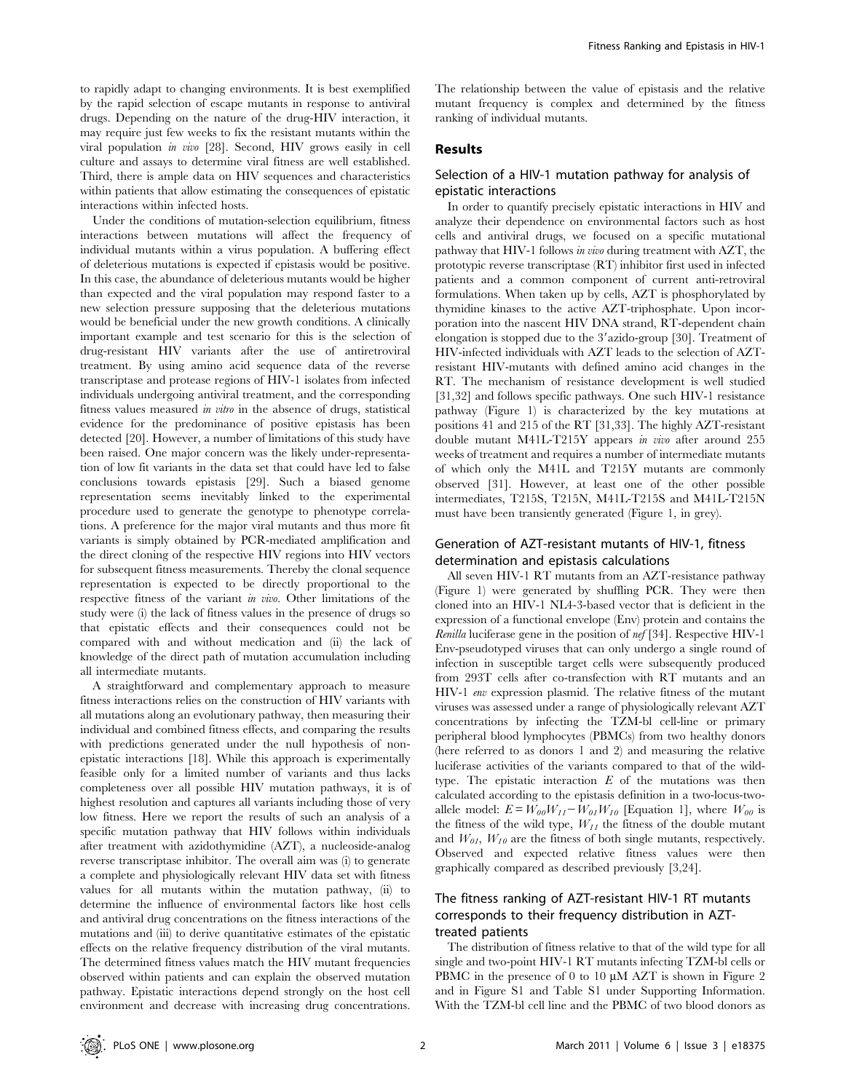to rapidly adapt to changing environments. It is best exemplified by the rapid selection of escape mutants in response to antiviral drugs. Depending on the nature of the drug-HIV interaction, it may require just few weeks to fix the resistant mutants within the viral population in vivo [28]. Second, HIV grows easily in cell culture and assays to determine viral fitness are well established. Third, there is ample data on HIV sequences and characteristics within patients that allow estimating the consequences of epistatic interactions within infected hosts.

Under the conditions of mutation-selection equilibrium, fitness interactions between mutations will affect the frequency of individual mutants within a virus population. A buffering effect of deleterious mutations is expected if epistasis would be positive. In this case, the abundance of deleterious mutants would be higher than expected and the viral population may respond faster to a new selection pressure supposing that the deleterious mutations would be beneficial under the new growth conditions. A clinically important example and test scenario for this is the selection of drug-resistant HIV variants after the use of antiretroviral treatment. By using amino acid sequence data of the reverse transcriptase and protease regions of HIV-1 isolates from infected individuals undergoing antiviral treatment, and the corresponding fitness values measured in vitro in the absence of drugs, statistical evidence for the predominance of positive epistasis has been detected [20]. However, a number of limitations of this study have been raised. One major concern was the likely under-representation of low fit variants in the data set that could have led to false conclusions towards epistasis [29]. Such a biased genome representation seems inevitably linked to the experimental procedure used to generate the genotype to phenotype correlations. A preference for the major viral mutants and thus more fit variants is simply obtained by PCR-mediated amplification and the direct cloning of the respective HIV regions into HIV vectors for subsequent fitness measurements. Thereby the clonal sequence representation is expected to be directly proportional to the respective fitness of the variant in vivo. Other limitations of the study were (i) the lack of fitness values in the presence of drugs so that epistatic effects and their consequences could not be compared with and without medication and (ii) the lack of knowledge of the direct path of mutation accumulation including all intermediate mutants.

A straightforward and complementary approach to measure fitness interactions relies on the construction of HIV variants with all mutations along an evolutionary pathway, then measuring their individual and combined fitness effects, and comparing the results with predictions generated under the null hypothesis of nonepistatic interactions [18]. While this approach is experimentally feasible only for a limited number of variants and thus lacks completeness over all possible HIV mutation pathways, it is of highest resolution and captures all variants including those of very low fitness. Here we report the results of such an analysis of a specific mutation pathway that HIV follows within individuals after treatment with azidothymidine (AZT), a nucleoside-analog reverse transcriptase inhibitor. The overall aim was (i) to generate a complete and physiologically relevant HIV data set with fitness values for all mutants within the mutation pathway, (ii) to determine the influence of environmental factors like host cells and antiviral drug concentrations on the fitness interactions of the mutations and (iii) to derive quantitative estimates of the epistatic effects on the relative frequency distribution of the viral mutants. The determined fitness values match the HIV mutant frequencies observed within patients and can explain the observed mutation pathway. Epistatic interactions depend strongly on the host cell environment and decrease with increasing drug concentrations.

The relationship between the value of epistasis and the relative mutant frequency is complex and determined by the fitness ranking of individual mutants.

#### Results

#### Selection of a HIV-1 mutation pathway for analysis of epistatic interactions

In order to quantify precisely epistatic interactions in HIV and analyze their dependence on environmental factors such as host cells and antiviral drugs, we focused on a specific mutational pathway that HIV-1 follows in vivo during treatment with AZT, the prototypic reverse transcriptase (RT) inhibitor first used in infected patients and a common component of current anti-retroviral formulations. When taken up by cells, AZT is phosphorylated by thymidine kinases to the active AZT-triphosphate. Upon incorporation into the nascent HIV DNA strand, RT-dependent chain elongation is stopped due to the 3'azido-group [30]. Treatment of HIV-infected individuals with AZT leads to the selection of AZTresistant HIV-mutants with defined amino acid changes in the RT. The mechanism of resistance development is well studied [31,32] and follows specific pathways. One such HIV-1 resistance pathway (Figure 1) is characterized by the key mutations at positions 41 and 215 of the RT [31,33]. The highly AZT-resistant double mutant M41L-T215Y appears in vivo after around 255 weeks of treatment and requires a number of intermediate mutants of which only the M41L and T215Y mutants are commonly observed [31]. However, at least one of the other possible intermediates, T215S, T215N, M41L-T215S and M41L-T215N must have been transiently generated (Figure 1, in grey).

#### Generation of AZT-resistant mutants of HIV-1, fitness determination and epistasis calculations

All seven HIV-1 RT mutants from an AZT-resistance pathway (Figure 1) were generated by shuffling PCR. They were then cloned into an HIV-1 NL4-3-based vector that is deficient in the expression of a functional envelope (Env) protein and contains the Renilla luciferase gene in the position of nef [34]. Respective HIV-1 Env-pseudotyped viruses that can only undergo a single round of infection in susceptible target cells were subsequently produced from 293T cells after co-transfection with RT mutants and an HIV-1 env expression plasmid. The relative fitness of the mutant viruses was assessed under a range of physiologically relevant AZT concentrations by infecting the TZM-bl cell-line or primary peripheral blood lymphocytes (PBMCs) from two healthy donors (here referred to as donors 1 and 2) and measuring the relative luciferase activities of the variants compared to that of the wildtype. The epistatic interaction  $E$  of the mutations was then calculated according to the epistasis definition in a two-locus-twoallele model:  $E = W_{00}W_{11} - W_{01}W_{10}$  [Equation 1], where  $W_{00}$  is the fitness of the wild type,  $W_{11}$  the fitness of the double mutant and  $W_{0I}$ ,  $W_{10}$  are the fitness of both single mutants, respectively. Observed and expected relative fitness values were then graphically compared as described previously [3,24].

## The fitness ranking of AZT-resistant HIV-1 RT mutants corresponds to their frequency distribution in AZTtreated patients

The distribution of fitness relative to that of the wild type for all single and two-point HIV-1 RT mutants infecting TZM-bl cells or PBMC in the presence of 0 to 10  $\mu$ M AZT is shown in Figure 2 and in Figure S1 and Table S1 under Supporting Information. With the TZM-bl cell line and the PBMC of two blood donors as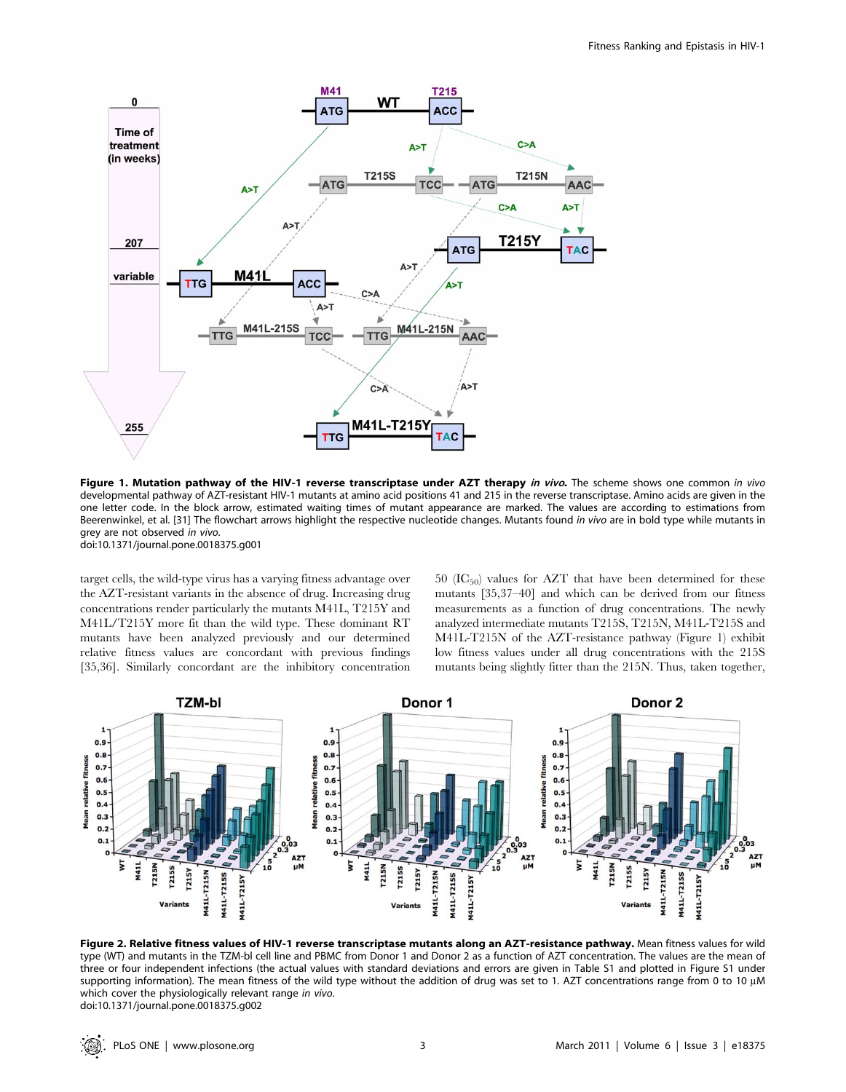

Figure 1. Mutation pathway of the HIV-1 reverse transcriptase under AZT therapy in vivo. The scheme shows one common in vivo developmental pathway of AZT-resistant HIV-1 mutants at amino acid positions 41 and 215 in the reverse transcriptase. Amino acids are given in the one letter code. In the block arrow, estimated waiting times of mutant appearance are marked. The values are according to estimations from Beerenwinkel, et al. [31] The flowchart arrows highlight the respective nucleotide changes. Mutants found in vivo are in bold type while mutants in grey are not observed in vivo.

doi:10.1371/journal.pone.0018375.g001

target cells, the wild-type virus has a varying fitness advantage over the AZT-resistant variants in the absence of drug. Increasing drug concentrations render particularly the mutants M41L, T215Y and M41L/T215Y more fit than the wild type. These dominant RT mutants have been analyzed previously and our determined relative fitness values are concordant with previous findings [35,36]. Similarly concordant are the inhibitory concentration 50 ( $IC_{50}$ ) values for AZT that have been determined for these mutants [35,37–40] and which can be derived from our fitness measurements as a function of drug concentrations. The newly analyzed intermediate mutants T215S, T215N, M41L-T215S and M41L-T215N of the AZT-resistance pathway (Figure 1) exhibit low fitness values under all drug concentrations with the 215S mutants being slightly fitter than the 215N. Thus, taken together,



Figure 2. Relative fitness values of HIV-1 reverse transcriptase mutants along an AZT-resistance pathway. Mean fitness values for wild type (WT) and mutants in the TZM-bl cell line and PBMC from Donor 1 and Donor 2 as a function of AZT concentration. The values are the mean of three or four independent infections (the actual values with standard deviations and errors are given in Table S1 and plotted in Figure S1 under supporting information). The mean fitness of the wild type without the addition of drug was set to 1. AZT concentrations range from 0 to 10 µM which cover the physiologically relevant range in vivo. doi:10.1371/journal.pone.0018375.g002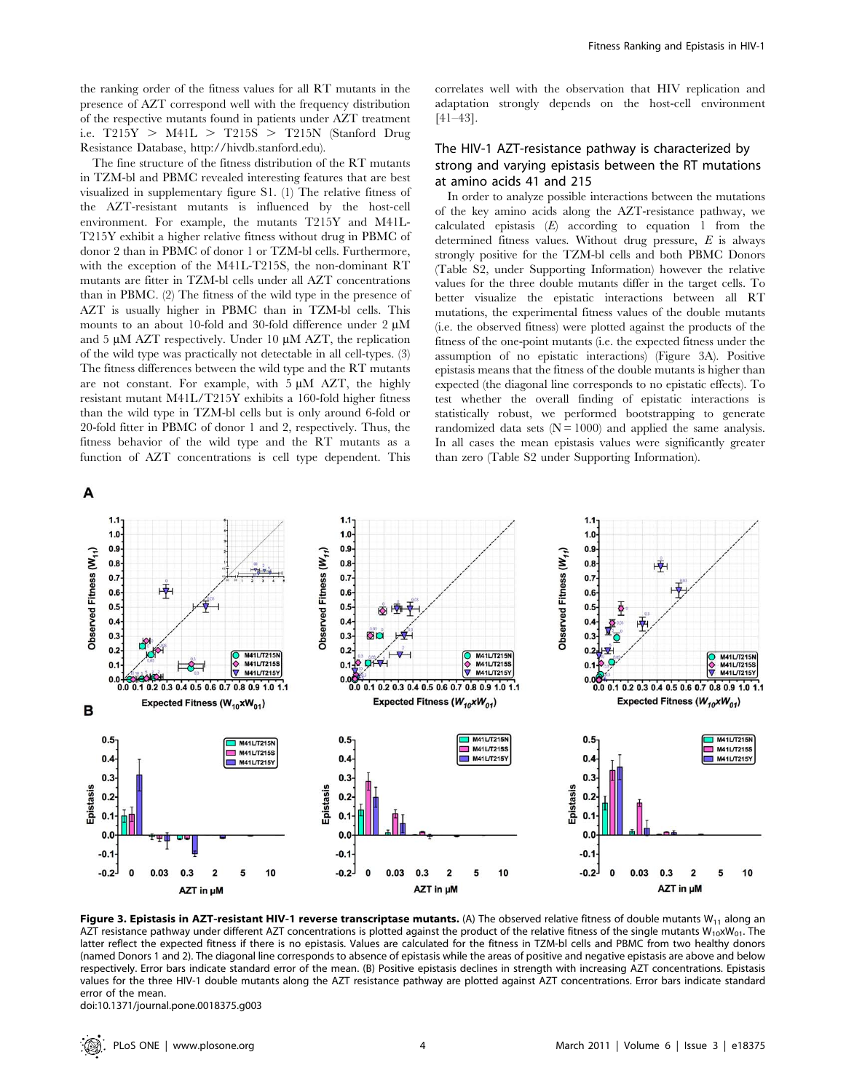the ranking order of the fitness values for all RT mutants in the presence of AZT correspond well with the frequency distribution of the respective mutants found in patients under AZT treatment i.e.  $T215Y > M41L > T215S > T215N$  (Stanford Drug Resistance Database, http://hivdb.stanford.edu).

The fine structure of the fitness distribution of the RT mutants in TZM-bl and PBMC revealed interesting features that are best visualized in supplementary figure S1. (1) The relative fitness of the AZT-resistant mutants is influenced by the host-cell environment. For example, the mutants T215Y and M41L-T215Y exhibit a higher relative fitness without drug in PBMC of donor 2 than in PBMC of donor 1 or TZM-bl cells. Furthermore, with the exception of the M41L-T215S, the non-dominant RT mutants are fitter in TZM-bl cells under all AZT concentrations than in PBMC. (2) The fitness of the wild type in the presence of AZT is usually higher in PBMC than in TZM-bl cells. This mounts to an about 10-fold and 30-fold difference under 2  $\mu$ M and 5  $\mu$ M AZT respectively. Under 10  $\mu$ M AZT, the replication of the wild type was practically not detectable in all cell-types. (3) The fitness differences between the wild type and the RT mutants are not constant. For example, with  $5 \mu M$  AZT, the highly resistant mutant M41L/T215Y exhibits a 160-fold higher fitness than the wild type in TZM-bl cells but is only around 6-fold or 20-fold fitter in PBMC of donor 1 and 2, respectively. Thus, the fitness behavior of the wild type and the RT mutants as a function of AZT concentrations is cell type dependent. This correlates well with the observation that HIV replication and adaptation strongly depends on the host-cell environment [41–43].

## The HIV-1 AZT-resistance pathway is characterized by strong and varying epistasis between the RT mutations at amino acids 41 and 215

In order to analyze possible interactions between the mutations of the key amino acids along the AZT-resistance pathway, we calculated epistasis  $(E)$  according to equation 1 from the determined fitness values. Without drug pressure,  $E$  is always strongly positive for the TZM-bl cells and both PBMC Donors (Table S2, under Supporting Information) however the relative values for the three double mutants differ in the target cells. To better visualize the epistatic interactions between all RT mutations, the experimental fitness values of the double mutants (i.e. the observed fitness) were plotted against the products of the fitness of the one-point mutants (i.e. the expected fitness under the assumption of no epistatic interactions) (Figure 3A). Positive epistasis means that the fitness of the double mutants is higher than expected (the diagonal line corresponds to no epistatic effects). To test whether the overall finding of epistatic interactions is statistically robust, we performed bootstrapping to generate randomized data sets  $(N = 1000)$  and applied the same analysis. In all cases the mean epistasis values were significantly greater than zero (Table S2 under Supporting Information).



Figure 3. Epistasis in AZT-resistant HIV-1 reverse transcriptase mutants. (A) The observed relative fitness of double mutants W<sub>11</sub> along an AZT resistance pathway under different AZT concentrations is plotted against the product of the relative fitness of the single mutants  $W_{10}xW_{01}$ . The latter reflect the expected fitness if there is no epistasis. Values are calculated for the fitness in TZM-bl cells and PBMC from two healthy donors (named Donors 1 and 2). The diagonal line corresponds to absence of epistasis while the areas of positive and negative epistasis are above and below respectively. Error bars indicate standard error of the mean. (B) Positive epistasis declines in strength with increasing AZT concentrations. Epistasis values for the three HIV-1 double mutants along the AZT resistance pathway are plotted against AZT concentrations. Error bars indicate standard error of the mean.

doi:10.1371/journal.pone.0018375.g003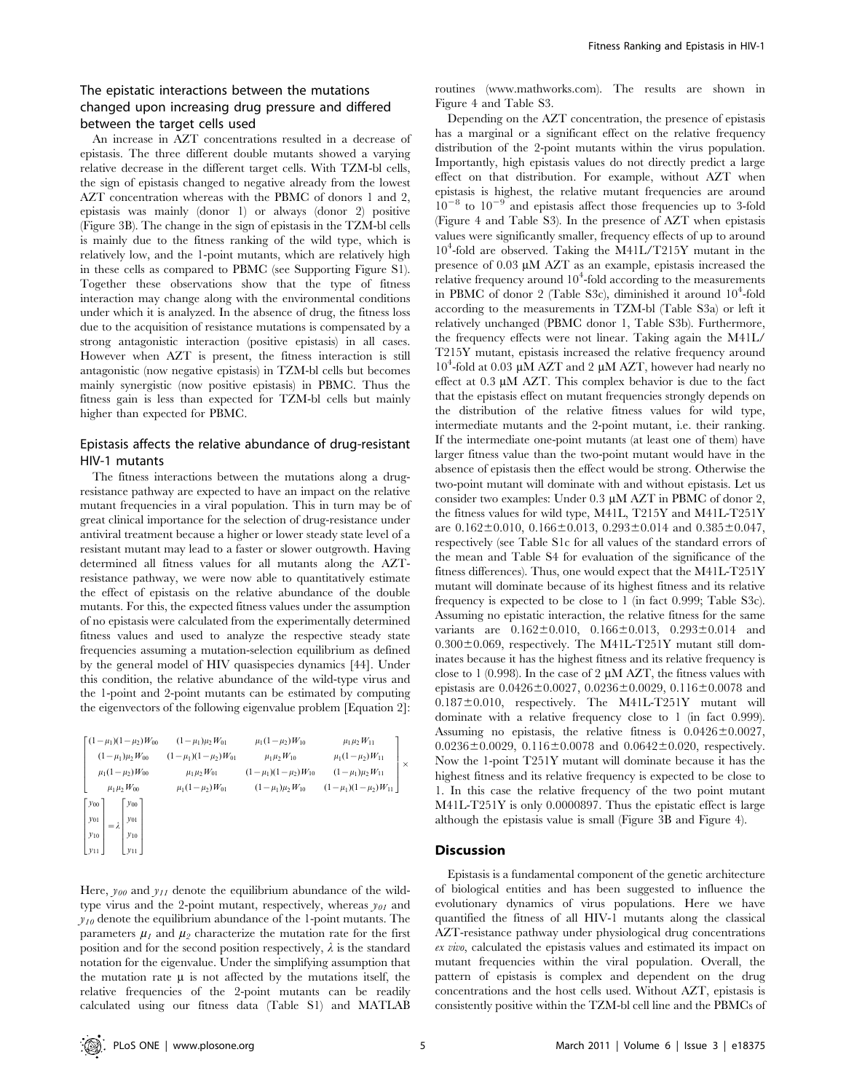## The epistatic interactions between the mutations changed upon increasing drug pressure and differed between the target cells used

An increase in AZT concentrations resulted in a decrease of epistasis. The three different double mutants showed a varying relative decrease in the different target cells. With TZM-bl cells, the sign of epistasis changed to negative already from the lowest AZT concentration whereas with the PBMC of donors 1 and 2, epistasis was mainly (donor 1) or always (donor 2) positive (Figure 3B). The change in the sign of epistasis in the TZM-bl cells is mainly due to the fitness ranking of the wild type, which is relatively low, and the 1-point mutants, which are relatively high in these cells as compared to PBMC (see Supporting Figure S1). Together these observations show that the type of fitness interaction may change along with the environmental conditions under which it is analyzed. In the absence of drug, the fitness loss due to the acquisition of resistance mutations is compensated by a strong antagonistic interaction (positive epistasis) in all cases. However when AZT is present, the fitness interaction is still antagonistic (now negative epistasis) in TZM-bl cells but becomes mainly synergistic (now positive epistasis) in PBMC. Thus the fitness gain is less than expected for TZM-bl cells but mainly higher than expected for PBMC.

## Epistasis affects the relative abundance of drug-resistant HIV-1 mutants

The fitness interactions between the mutations along a drugresistance pathway are expected to have an impact on the relative mutant frequencies in a viral population. This in turn may be of great clinical importance for the selection of drug-resistance under antiviral treatment because a higher or lower steady state level of a resistant mutant may lead to a faster or slower outgrowth. Having determined all fitness values for all mutants along the AZTresistance pathway, we were now able to quantitatively estimate the effect of epistasis on the relative abundance of the double mutants. For this, the expected fitness values under the assumption of no epistasis were calculated from the experimentally determined fitness values and used to analyze the respective steady state frequencies assuming a mutation-selection equilibrium as defined by the general model of HIV quasispecies dynamics [44]. Under this condition, the relative abundance of the wild-type virus and the 1-point and 2-point mutants can be estimated by computing the eigenvectors of the following eigenvalue problem [Equation 2]:

| $\left[ (1 - \mu_1)(1 - \mu_2)W_{00} \right]$ $(1 - \mu_1)\mu_2W_{01}$                                                                            |                                                          | $\mu_1(1-\mu_2)W_{10}$     | $\mu_1 \mu_2 W_{11}$                                     |  |
|---------------------------------------------------------------------------------------------------------------------------------------------------|----------------------------------------------------------|----------------------------|----------------------------------------------------------|--|
|                                                                                                                                                   | $(1 - \mu_1)\mu_2 W_{00}$ $(1 - \mu_1)(1 - \mu_2)W_{01}$ | $\mu_1 \mu_2 W_{10}$       | $\mu_1(1-\mu_2)W_{11}$                                   |  |
| $\mu_1(1-\mu_2)W_{00}$                                                                                                                            | $\mu_1 \mu_2 W_{01}$                                     | $(1-\mu_1)(1-\mu_2)W_{10}$ | $(1-\mu_1)\mu_2 W_{11}$                                  |  |
| $\mu_1 \mu_2 W_{00}$                                                                                                                              | $\mu_1(1-\mu_2)W_{01}$                                   |                            | $(1 - \mu_1)\mu_2 W_{10}$ $(1 - \mu_1)(1 - \mu_2)W_{11}$ |  |
| $\begin{bmatrix} y_{00} \\ y_{01} \\ y_{10} \\ y_{11} \end{bmatrix} = \lambda \begin{bmatrix} y_{00} \\ y_{01} \\ y_{10} \\ y_{11} \end{bmatrix}$ |                                                          |                            |                                                          |  |
|                                                                                                                                                   |                                                          |                            |                                                          |  |
|                                                                                                                                                   |                                                          |                            |                                                          |  |
|                                                                                                                                                   |                                                          |                            |                                                          |  |

Here,  $y_{00}$  and  $y_{11}$  denote the equilibrium abundance of the wildtype virus and the 2-point mutant, respectively, whereas  $y_{01}$  and  $y_{10}$  denote the equilibrium abundance of the 1-point mutants. The parameters  $\mu_1$  and  $\mu_2$  characterize the mutation rate for the first position and for the second position respectively,  $\lambda$  is the standard notation for the eigenvalue. Under the simplifying assumption that the mutation rate  $\mu$  is not affected by the mutations itself, the relative frequencies of the 2-point mutants can be readily calculated using our fitness data (Table S1) and MATLAB routines (www.mathworks.com). The results are shown in Figure 4 and Table S3.

Depending on the AZT concentration, the presence of epistasis has a marginal or a significant effect on the relative frequency distribution of the 2-point mutants within the virus population. Importantly, high epistasis values do not directly predict a large effect on that distribution. For example, without AZT when epistasis is highest, the relative mutant frequencies are around  $10^{-8}$  to  $10^{-9}$  and epistasis affect those frequencies up to 3-fold (Figure 4 and Table S3). In the presence of AZT when epistasis values were significantly smaller, frequency effects of up to around 104 -fold are observed. Taking the M41L/T215Y mutant in the presence of  $0.03 \mu M$  AZT as an example, epistasis increased the relative frequency around  $10^4$ -fold according to the measurements in PBMC of donor 2 (Table S3c), diminished it around  $10^4$ -fold according to the measurements in TZM-bl (Table S3a) or left it relatively unchanged (PBMC donor 1, Table S3b). Furthermore, the frequency effects were not linear. Taking again the M41L/ T215Y mutant, epistasis increased the relative frequency around 10<sup>4</sup>-fold at 0.03 μM AZT and 2 μM AZT, however had nearly no effect at  $0.3 \mu M$  AZT. This complex behavior is due to the fact that the epistasis effect on mutant frequencies strongly depends on the distribution of the relative fitness values for wild type, intermediate mutants and the 2-point mutant, i.e. their ranking. If the intermediate one-point mutants (at least one of them) have larger fitness value than the two-point mutant would have in the absence of epistasis then the effect would be strong. Otherwise the two-point mutant will dominate with and without epistasis. Let us consider two examples: Under  $0.3 \mu M$  AZT in PBMC of donor 2, the fitness values for wild type, M41L, T215Y and M41L-T251Y are  $0.162 \pm 0.010$ ,  $0.166 \pm 0.013$ ,  $0.293 \pm 0.014$  and  $0.385 \pm 0.047$ , respectively (see Table S1c for all values of the standard errors of the mean and Table S4 for evaluation of the significance of the fitness differences). Thus, one would expect that the M41L-T251Y mutant will dominate because of its highest fitness and its relative frequency is expected to be close to 1 (in fact 0.999; Table S3c). Assuming no epistatic interaction, the relative fitness for the same variants are  $0.162 \pm 0.010$ ,  $0.166 \pm 0.013$ ,  $0.293 \pm 0.014$  and  $0.300\pm0.069$ , respectively. The M41L-T251Y mutant still dominates because it has the highest fitness and its relative frequency is close to 1 (0.998). In the case of 2  $\mu$ M AZT, the fitness values with epistasis are  $0.0426 \pm 0.0027$ ,  $0.0236 \pm 0.0029$ ,  $0.116 \pm 0.0078$  and  $0.187 \pm 0.010$ , respectively. The M41L-T251Y mutant will dominate with a relative frequency close to 1 (in fact 0.999). Assuming no epistasis, the relative fitness is  $0.0426 \pm 0.0027$ ,  $0.0236 \pm 0.0029$ ,  $0.116 \pm 0.0078$  and  $0.0642 \pm 0.020$ , respectively. Now the 1-point T251Y mutant will dominate because it has the highest fitness and its relative frequency is expected to be close to 1. In this case the relative frequency of the two point mutant M41L-T251Y is only 0.0000897. Thus the epistatic effect is large although the epistasis value is small (Figure 3B and Figure 4).

#### **Discussion**

Epistasis is a fundamental component of the genetic architecture of biological entities and has been suggested to influence the evolutionary dynamics of virus populations. Here we have quantified the fitness of all HIV-1 mutants along the classical AZT-resistance pathway under physiological drug concentrations ex vivo, calculated the epistasis values and estimated its impact on mutant frequencies within the viral population. Overall, the pattern of epistasis is complex and dependent on the drug concentrations and the host cells used. Without AZT, epistasis is consistently positive within the TZM-bl cell line and the PBMCs of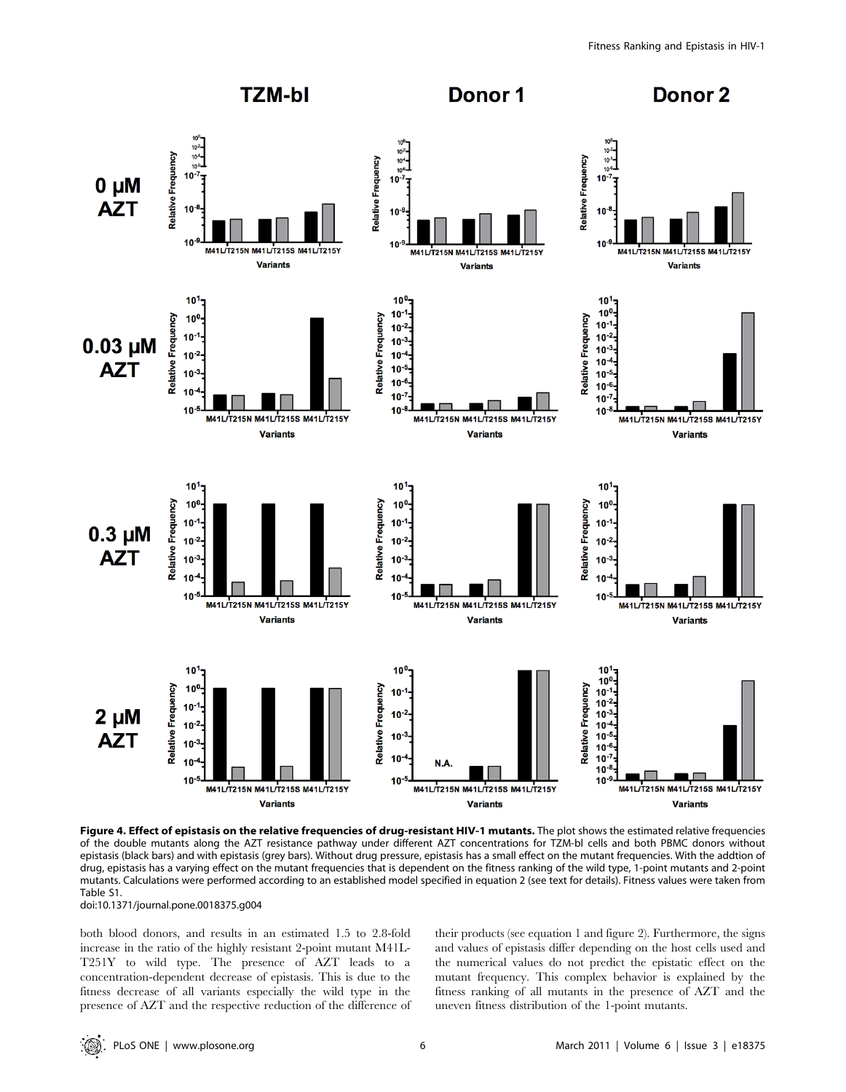

Figure 4. Effect of epistasis on the relative frequencies of drug-resistant HIV-1 mutants. The plot shows the estimated relative frequencies of the double mutants along the AZT resistance pathway under different AZT concentrations for TZM-bl cells and both PBMC donors without epistasis (black bars) and with epistasis (grey bars). Without drug pressure, epistasis has a small effect on the mutant frequencies. With the addtion of drug, epistasis has a varying effect on the mutant frequencies that is dependent on the fitness ranking of the wild type, 1-point mutants and 2-point mutants. Calculations were performed according to an established model specified in equation 2 (see text for details). Fitness values were taken from Table S1.

doi:10.1371/journal.pone.0018375.g004

both blood donors, and results in an estimated 1.5 to 2.8-fold increase in the ratio of the highly resistant 2-point mutant M41L-T251Y to wild type. The presence of AZT leads to a concentration-dependent decrease of epistasis. This is due to the fitness decrease of all variants especially the wild type in the presence of AZT and the respective reduction of the difference of their products (see equation 1 and figure 2). Furthermore, the signs and values of epistasis differ depending on the host cells used and the numerical values do not predict the epistatic effect on the mutant frequency. This complex behavior is explained by the fitness ranking of all mutants in the presence of AZT and the uneven fitness distribution of the 1-point mutants.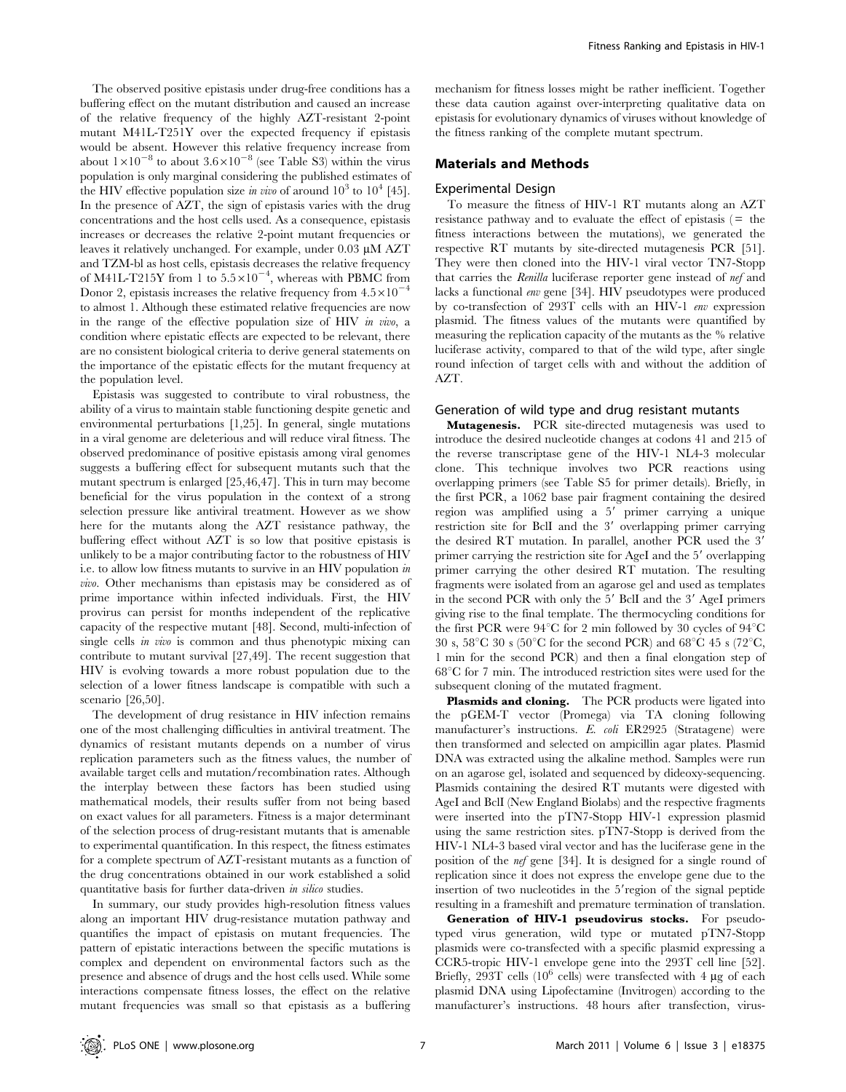The observed positive epistasis under drug-free conditions has a buffering effect on the mutant distribution and caused an increase of the relative frequency of the highly AZT-resistant 2-point mutant M41L-T251Y over the expected frequency if epistasis would be absent. However this relative frequency increase from about  $1\times10^{-8}$  to about  $3.6\times10^{-8}$  (see Table S3) within the virus population is only marginal considering the published estimates of the HIV effective population size in vivo of around  $10^3$  to  $10^4$  [45]. In the presence of AZT, the sign of epistasis varies with the drug concentrations and the host cells used. As a consequence, epistasis increases or decreases the relative 2-point mutant frequencies or leaves it relatively unchanged. For example, under  $0.03 \mu M$  AZT and TZM-bl as host cells, epistasis decreases the relative frequency of M41L-T215Y from 1 to  $5.5 \times 10^{-4}$ , whereas with PBMC from Donor 2, epistasis increases the relative frequency from  $4.5 \times 10^{-4}$ to almost 1. Although these estimated relative frequencies are now in the range of the effective population size of HIV in vivo, a condition where epistatic effects are expected to be relevant, there are no consistent biological criteria to derive general statements on the importance of the epistatic effects for the mutant frequency at the population level.

Epistasis was suggested to contribute to viral robustness, the ability of a virus to maintain stable functioning despite genetic and environmental perturbations [1,25]. In general, single mutations in a viral genome are deleterious and will reduce viral fitness. The observed predominance of positive epistasis among viral genomes suggests a buffering effect for subsequent mutants such that the mutant spectrum is enlarged [25,46,47]. This in turn may become beneficial for the virus population in the context of a strong selection pressure like antiviral treatment. However as we show here for the mutants along the AZT resistance pathway, the buffering effect without AZT is so low that positive epistasis is unlikely to be a major contributing factor to the robustness of HIV i.e. to allow low fitness mutants to survive in an HIV population in vivo. Other mechanisms than epistasis may be considered as of prime importance within infected individuals. First, the HIV provirus can persist for months independent of the replicative capacity of the respective mutant [48]. Second, multi-infection of single cells *in vivo* is common and thus phenotypic mixing can contribute to mutant survival [27,49]. The recent suggestion that HIV is evolving towards a more robust population due to the selection of a lower fitness landscape is compatible with such a scenario [26,50].

The development of drug resistance in HIV infection remains one of the most challenging difficulties in antiviral treatment. The dynamics of resistant mutants depends on a number of virus replication parameters such as the fitness values, the number of available target cells and mutation/recombination rates. Although the interplay between these factors has been studied using mathematical models, their results suffer from not being based on exact values for all parameters. Fitness is a major determinant of the selection process of drug-resistant mutants that is amenable to experimental quantification. In this respect, the fitness estimates for a complete spectrum of AZT-resistant mutants as a function of the drug concentrations obtained in our work established a solid quantitative basis for further data-driven *in silico* studies.

In summary, our study provides high-resolution fitness values along an important HIV drug-resistance mutation pathway and quantifies the impact of epistasis on mutant frequencies. The pattern of epistatic interactions between the specific mutations is complex and dependent on environmental factors such as the presence and absence of drugs and the host cells used. While some interactions compensate fitness losses, the effect on the relative mutant frequencies was small so that epistasis as a buffering

mechanism for fitness losses might be rather inefficient. Together these data caution against over-interpreting qualitative data on epistasis for evolutionary dynamics of viruses without knowledge of the fitness ranking of the complete mutant spectrum.

#### Materials and Methods

#### Experimental Design

To measure the fitness of HIV-1 RT mutants along an AZT resistance pathway and to evaluate the effect of epistasis  $($  = the fitness interactions between the mutations), we generated the respective RT mutants by site-directed mutagenesis PCR [51]. They were then cloned into the HIV-1 viral vector TN7-Stopp that carries the Renilla luciferase reporter gene instead of nef and lacks a functional env gene [34]. HIV pseudotypes were produced by co-transfection of 293T cells with an HIV-1 env expression plasmid. The fitness values of the mutants were quantified by measuring the replication capacity of the mutants as the % relative luciferase activity, compared to that of the wild type, after single round infection of target cells with and without the addition of AZT.

#### Generation of wild type and drug resistant mutants

Mutagenesis. PCR site-directed mutagenesis was used to introduce the desired nucleotide changes at codons 41 and 215 of the reverse transcriptase gene of the HIV-1 NL4-3 molecular clone. This technique involves two PCR reactions using overlapping primers (see Table S5 for primer details). Briefly, in the first PCR, a 1062 base pair fragment containing the desired region was amplified using a 5' primer carrying a unique restriction site for BclI and the 3' overlapping primer carrying the desired RT mutation. In parallel, another PCR used the 3' primer carrying the restriction site for AgeI and the 5' overlapping primer carrying the other desired RT mutation. The resulting fragments were isolated from an agarose gel and used as templates in the second PCR with only the 5' BclI and the 3' AgeI primers giving rise to the final template. The thermocycling conditions for the first PCR were  $94^{\circ}$ C for 2 min followed by 30 cycles of  $94^{\circ}$ C 30 s,  $58^{\circ}$ C 30 s ( $50^{\circ}$ C for the second PCR) and  $68^{\circ}$ C 45 s ( $72^{\circ}$ C, 1 min for the second PCR) and then a final elongation step of  $68^{\circ}$ C for 7 min. The introduced restriction sites were used for the subsequent cloning of the mutated fragment.

Plasmids and cloning. The PCR products were ligated into the pGEM-T vector (Promega) via TA cloning following manufacturer's instructions. E. coli ER2925 (Stratagene) were then transformed and selected on ampicillin agar plates. Plasmid DNA was extracted using the alkaline method. Samples were run on an agarose gel, isolated and sequenced by dideoxy-sequencing. Plasmids containing the desired RT mutants were digested with AgeI and BclI (New England Biolabs) and the respective fragments were inserted into the pTN7-Stopp HIV-1 expression plasmid using the same restriction sites. pTN7-Stopp is derived from the HIV-1 NL4-3 based viral vector and has the luciferase gene in the position of the nef gene [34]. It is designed for a single round of replication since it does not express the envelope gene due to the insertion of two nucleotides in the 5'region of the signal peptide resulting in a frameshift and premature termination of translation.

Generation of HIV-1 pseudovirus stocks. For pseudotyped virus generation, wild type or mutated pTN7-Stopp plasmids were co-transfected with a specific plasmid expressing a CCR5-tropic HIV-1 envelope gene into the 293T cell line [52]. Briefly, 293T cells ( $10^6$  cells) were transfected with 4 µg of each plasmid DNA using Lipofectamine (Invitrogen) according to the manufacturer's instructions. 48 hours after transfection, virus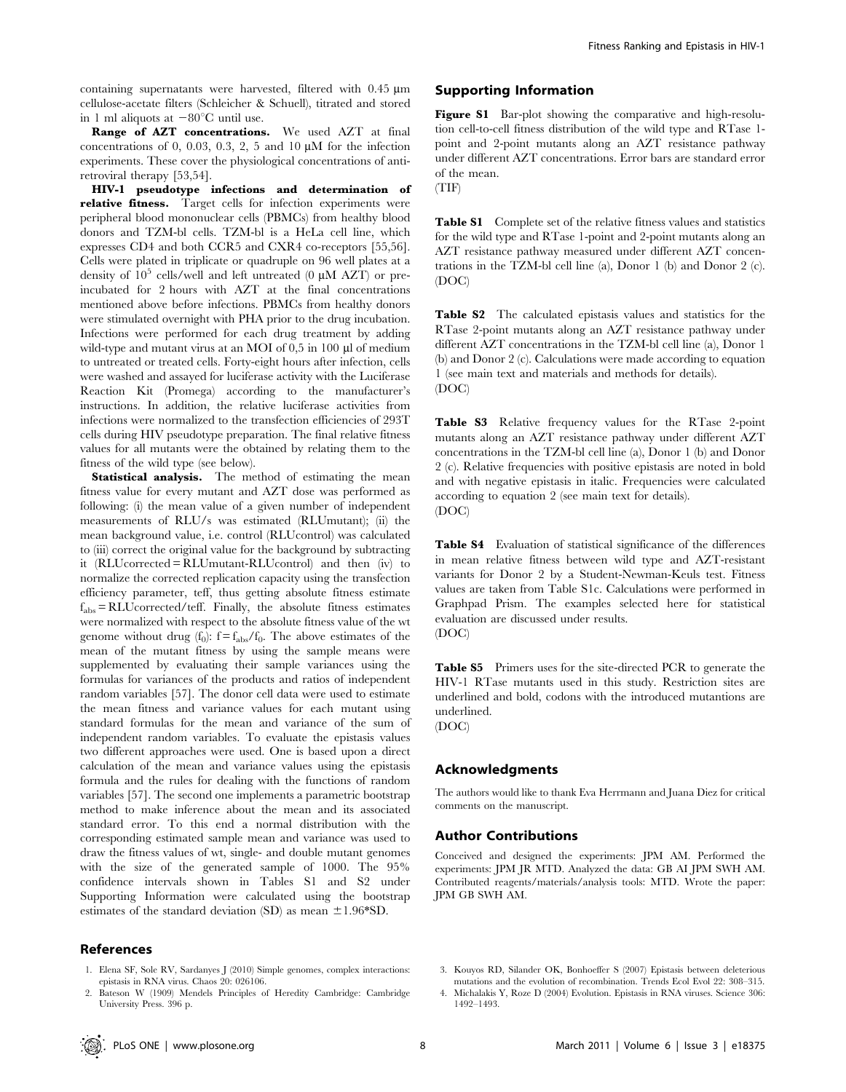containing supernatants were harvested, filtered with  $0.45 \mu m$ cellulose-acetate filters (Schleicher & Schuell), titrated and stored in 1 ml aliquots at  $-80^{\circ}$ C until use.

Range of AZT concentrations. We used AZT at final concentrations of 0, 0.03, 0.3, 2, 5 and 10  $\mu$ M for the infection experiments. These cover the physiological concentrations of antiretroviral therapy [53,54].

HIV-1 pseudotype infections and determination of relative fitness. Target cells for infection experiments were peripheral blood mononuclear cells (PBMCs) from healthy blood donors and TZM-bl cells. TZM-bl is a HeLa cell line, which expresses CD4 and both CCR5 and CXR4 co-receptors [55,56]. Cells were plated in triplicate or quadruple on 96 well plates at a density of  $10^5$  cells/well and left untreated (0  $\mu$ M AZT) or preincubated for 2 hours with AZT at the final concentrations mentioned above before infections. PBMCs from healthy donors were stimulated overnight with PHA prior to the drug incubation. Infections were performed for each drug treatment by adding wild-type and mutant virus at an MOI of 0,5 in 100 µl of medium to untreated or treated cells. Forty-eight hours after infection, cells were washed and assayed for luciferase activity with the Luciferase Reaction Kit (Promega) according to the manufacturer's instructions. In addition, the relative luciferase activities from infections were normalized to the transfection efficiencies of 293T cells during HIV pseudotype preparation. The final relative fitness values for all mutants were the obtained by relating them to the fitness of the wild type (see below).

Statistical analysis. The method of estimating the mean fitness value for every mutant and AZT dose was performed as following: (i) the mean value of a given number of independent measurements of RLU/s was estimated (RLUmutant); (ii) the mean background value, i.e. control (RLUcontrol) was calculated to (iii) correct the original value for the background by subtracting it (RLUcorrected = RLUmutant-RLUcontrol) and then (iv) to normalize the corrected replication capacity using the transfection efficiency parameter, teff, thus getting absolute fitness estimate  $f_{\text{abs}} = \text{RLU}$ corrected/teff. Finally, the absolute fitness estimates were normalized with respect to the absolute fitness value of the wt genome without drug  $(f_0)$ :  $f = f_{abs}/f_0$ . The above estimates of the mean of the mutant fitness by using the sample means were supplemented by evaluating their sample variances using the formulas for variances of the products and ratios of independent random variables [57]. The donor cell data were used to estimate the mean fitness and variance values for each mutant using standard formulas for the mean and variance of the sum of independent random variables. To evaluate the epistasis values two different approaches were used. One is based upon a direct calculation of the mean and variance values using the epistasis formula and the rules for dealing with the functions of random variables [57]. The second one implements a parametric bootstrap method to make inference about the mean and its associated standard error. To this end a normal distribution with the corresponding estimated sample mean and variance was used to draw the fitness values of wt, single- and double mutant genomes with the size of the generated sample of 1000. The 95% confidence intervals shown in Tables S1 and S2 under Supporting Information were calculated using the bootstrap estimates of the standard deviation (SD) as mean  $\pm 1.96*SD$ .

#### References

- 1. Elena SF, Sole RV, Sardanyes J (2010) Simple genomes, complex interactions: epistasis in RNA virus. Chaos 20: 026106.
- 2. Bateson W (1909) Mendels Principles of Heredity Cambridge: Cambridge University Press. 396 p.

#### Supporting Information

Figure S1 Bar-plot showing the comparative and high-resolution cell-to-cell fitness distribution of the wild type and RTase 1 point and 2-point mutants along an AZT resistance pathway under different AZT concentrations. Error bars are standard error of the mean.

(TIF)

Table S1 Complete set of the relative fitness values and statistics for the wild type and RTase 1-point and 2-point mutants along an AZT resistance pathway measured under different AZT concentrations in the TZM-bl cell line (a), Donor 1 (b) and Donor 2 (c). (DOC)

Table S2 The calculated epistasis values and statistics for the RTase 2-point mutants along an AZT resistance pathway under different AZT concentrations in the TZM-bl cell line (a), Donor 1 (b) and Donor 2 (c). Calculations were made according to equation 1 (see main text and materials and methods for details). (DOC)

Table S3 Relative frequency values for the RTase 2-point mutants along an AZT resistance pathway under different AZT concentrations in the TZM-bl cell line (a), Donor 1 (b) and Donor 2 (c). Relative frequencies with positive epistasis are noted in bold and with negative epistasis in italic. Frequencies were calculated according to equation 2 (see main text for details). (DOC)

Table S4 Evaluation of statistical significance of the differences in mean relative fitness between wild type and AZT-resistant variants for Donor 2 by a Student-Newman-Keuls test. Fitness values are taken from Table S1c. Calculations were performed in Graphpad Prism. The examples selected here for statistical evaluation are discussed under results. (DOC)

Table S5 Primers uses for the site-directed PCR to generate the HIV-1 RTase mutants used in this study. Restriction sites are underlined and bold, codons with the introduced mutantions are underlined. (DOC)

## Acknowledgments

The authors would like to thank Eva Herrmann and Juana Diez for critical comments on the manuscript.

#### Author Contributions

Conceived and designed the experiments: JPM AM. Performed the experiments: JPM JR MTD. Analyzed the data: GB AI JPM SWH AM. Contributed reagents/materials/analysis tools: MTD. Wrote the paper: JPM GB SWH AM.

- 3. Kouyos RD, Silander OK, Bonhoeffer S (2007) Epistasis between deleterious mutations and the evolution of recombination. Trends Ecol Evol 22: 308–315.
- 4. Michalakis Y, Roze D (2004) Evolution. Epistasis in RNA viruses. Science 306: 1492–1493.